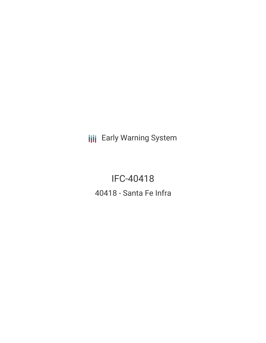**III** Early Warning System

IFC-40418 40418 - Santa Fe Infra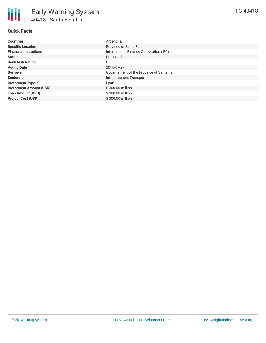## **Quick Facts**

| <b>Countries</b>               | Argentina                               |
|--------------------------------|-----------------------------------------|
| <b>Specific Location</b>       | Province of Santa Fe                    |
| <b>Financial Institutions</b>  | International Finance Corporation (IFC) |
| <b>Status</b>                  | Proposed                                |
| <b>Bank Risk Rating</b>        | B                                       |
| <b>Voting Date</b>             | 2018-07-27                              |
| <b>Borrower</b>                | Governement of the Province of Santa Fe |
| <b>Sectors</b>                 | Infrastructure, Transport               |
| <b>Investment Type(s)</b>      | Loan                                    |
| <b>Investment Amount (USD)</b> | \$300.00 million                        |
| <b>Loan Amount (USD)</b>       | \$300.00 million                        |
| <b>Project Cost (USD)</b>      | \$300.00 million                        |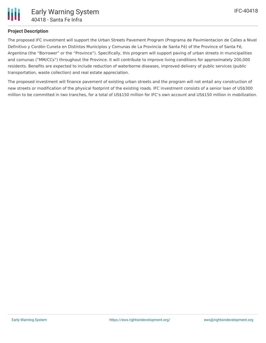## **Project Description**

The proposed IFC investment will support the Urban Streets Pavement Program (Programa de Pavimientacion de Calles a Nivel Definitivo y Cordón Cuneta en Distintos Municipios y Comunas de La Provincia de Santa Fé) of the Province of Santa Fé, Argentina (the "Borrower" or the "Province"). Specifically, this program will support paving of urban streets in municipalities and comunas ("MM/CCs") throughout the Province. It will contribute to improve living conditions for approximately 200,000 residents. Benefits are expected to include reduction of waterborne diseases, improved delivery of public services (public transportation, waste collection) and real estate appreciation.

The proposed investment will finance pavement of existing urban streets and the program will not entail any construction of new streets or modification of the physical footprint of the existing roads. IFC investment consists of a senior loan of US\$300 million to be committed in two tranches, for a total of US\$150 million for IFC's own account and US\$150 million in mobilization.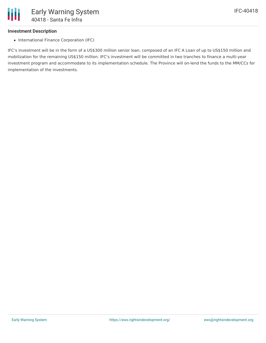## **Investment Description**

• International Finance Corporation (IFC)

IFC's investment will be in the form of a US\$300 million senior loan, composed of an IFC A Loan of up to US\$150 million and mobilization for the remaining US\$150 million. IFC's investment will be committed in two tranches to finance a multi-year investment program and accommodate to its implementation schedule. The Province will on-lend the funds to the MM/CCs for implementation of the investments.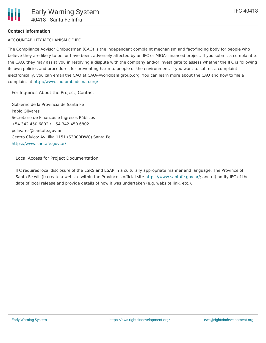## **Contact Information**

ACCOUNTABILITY MECHANISM OF IFC

The Compliance Advisor Ombudsman (CAO) is the independent complaint mechanism and fact-finding body for people who believe they are likely to be, or have been, adversely affected by an IFC or MIGA- financed project. If you submit a complaint to the CAO, they may assist you in resolving a dispute with the company and/or investigate to assess whether the IFC is following its own policies and procedures for preventing harm to people or the environment. If you want to submit a complaint electronically, you can email the CAO at CAO@worldbankgroup.org. You can learn more about the CAO and how to file a complaint at <http://www.cao-ombudsman.org/>

For [Inquiries](https://disclosures.ifc.org/#/projectDetail/SII/40418) About the Project, Contact

Gobierno de la Provincia de Santa Fe Pablo Olivares Secretario de Finanzas e Ingresos Públicos +54 342 450 6802 / +54 342 450 6802 polivares@santafe.gov.ar Centro Cívico: Av. Illía 1151 (S3000DWC) Santa Fe <https://www.santafe.gov.ar/>

Local Access for Project [Documentation](https://disclosures.ifc.org/#/projectDetail/SII/40418)

IFC requires local disclosure of the ESRS and ESAP in a culturally appropriate manner and language. The Province of Santa Fe will (i) create a website within the Province's official site [https://www.santafe.gov.ar/](https://disclosures.ifc.org/"https://www.santafe.gov.ar/"); and (ii) notify IFC of the date of local release and provide details of how it was undertaken (e.g. website link, etc.).